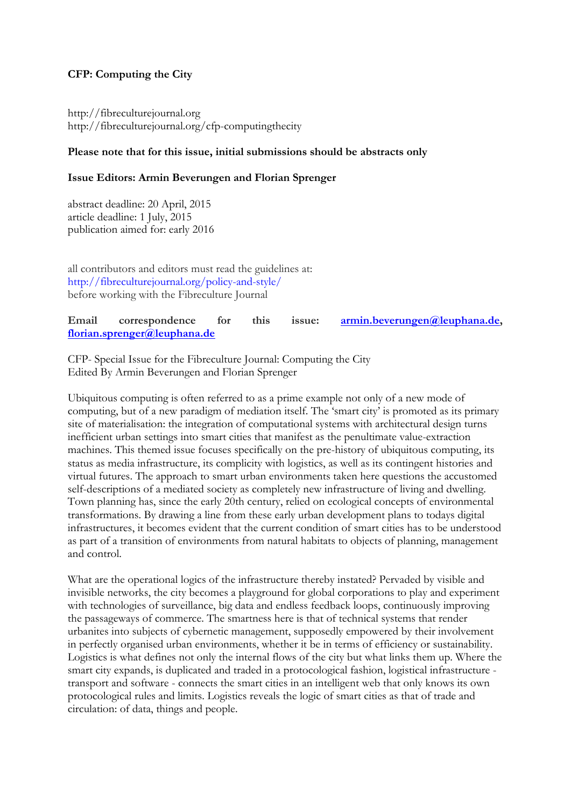## **CFP: Computing the City**

http://fibreculturejournal.org http://fibreculturejournal.org/cfp-computingthecity

## **Please note that for this issue, initial submissions should be abstracts only**

## **Issue Editors: Armin Beverungen and Florian Sprenger**

abstract deadline: 20 April, 2015 article deadline: 1 July, 2015 publication aimed for: early 2016

all contributors and editors must read the guidelines at: http://fibreculturejournal.org/policy-and-style/ before working with the Fibreculture Journal

## **Email correspondence for this issue: armin.beverungen@leuphana.de, florian.sprenger@leuphana.de**

CFP- Special Issue for the Fibreculture Journal: Computing the City Edited By Armin Beverungen and Florian Sprenger

Ubiquitous computing is often referred to as a prime example not only of a new mode of computing, but of a new paradigm of mediation itself. The 'smart city' is promoted as its primary site of materialisation: the integration of computational systems with architectural design turns inefficient urban settings into smart cities that manifest as the penultimate value-extraction machines. This themed issue focuses specifically on the pre-history of ubiquitous computing, its status as media infrastructure, its complicity with logistics, as well as its contingent histories and virtual futures. The approach to smart urban environments taken here questions the accustomed self-descriptions of a mediated society as completely new infrastructure of living and dwelling. Town planning has, since the early 20th century, relied on ecological concepts of environmental transformations. By drawing a line from these early urban development plans to todays digital infrastructures, it becomes evident that the current condition of smart cities has to be understood as part of a transition of environments from natural habitats to objects of planning, management and control.

What are the operational logics of the infrastructure thereby instated? Pervaded by visible and invisible networks, the city becomes a playground for global corporations to play and experiment with technologies of surveillance, big data and endless feedback loops, continuously improving the passageways of commerce. The smartness here is that of technical systems that render urbanites into subjects of cybernetic management, supposedly empowered by their involvement in perfectly organised urban environments, whether it be in terms of efficiency or sustainability. Logistics is what defines not only the internal flows of the city but what links them up. Where the smart city expands, is duplicated and traded in a protocological fashion, logistical infrastructure transport and software - connects the smart cities in an intelligent web that only knows its own protocological rules and limits. Logistics reveals the logic of smart cities as that of trade and circulation: of data, things and people.